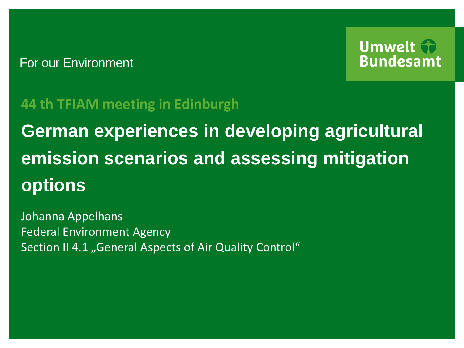## For our Environment



## **44 th TFIAM meeting in Edinburgh**

**German experiences in developing agricultural emission scenarios and assessing mitigation options** 

Johanna Appelhans Federal Environment Agency Section II 4.1 "General Aspects of Air Quality Control"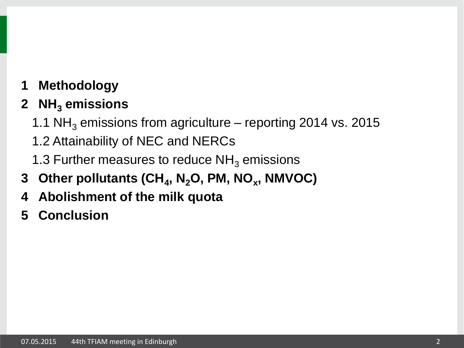**1 Methodology**

# **2 NH<sup>3</sup> emissions**

- 1.1  $NH<sub>3</sub>$  emissions from agriculture reporting 2014 vs. 2015
- 1.2 Attainability of NEC and NERCs
- 1.3 Further measures to reduce  $NH<sub>3</sub>$  emissions
- **3 Other pollutants (CH<sup>4</sup> , N2O, PM, NO<sup>x</sup> , NMVOC)**
- **4 Abolishment of the milk quota**
- **5 Conclusion**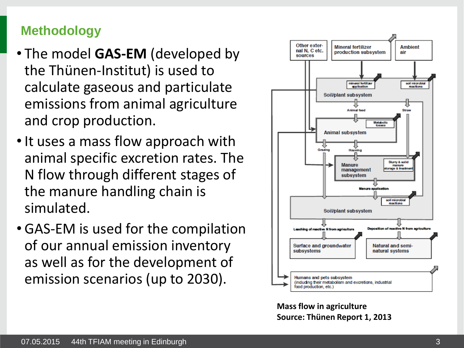## **Methodology**

- The model **GAS-EM** (developed by the Thünen-Institut) is used to calculate gaseous and particulate emissions from animal agriculture and crop production.
- It uses a mass flow approach with animal specific excretion rates. The N flow through different stages of the manure handling chain is simulated.
- GAS-EM is used for the compilation of our annual emission inventory as well as for the development of emission scenarios (up to 2030).



**Mass flow in agriculture Source: Thünen Report 1, 2013**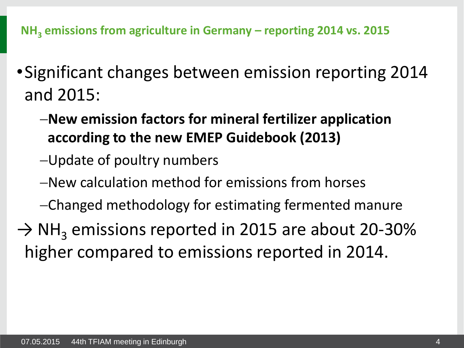**NH<sup>3</sup> emissions from agriculture in Germany – reporting 2014 vs. 2015**

- •Significant changes between emission reporting 2014 and 2015:
	- **New emission factors for mineral fertilizer application according to the new EMEP Guidebook (2013)**
	- Update of poultry numbers
	- New calculation method for emissions from horses
	- Changed methodology for estimating fermented manure
- $\rightarrow$  NH<sub>3</sub> emissions reported in 2015 are about 20-30% higher compared to emissions reported in 2014.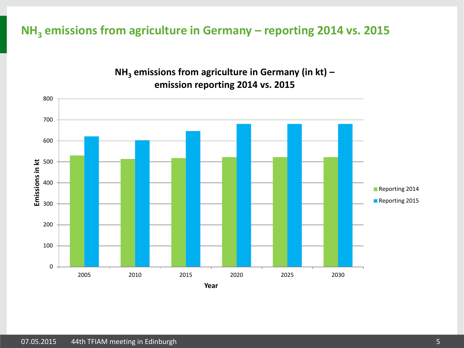### **NH<sup>3</sup> emissions from agriculture in Germany – reporting 2014 vs. 2015**



#### **NH<sup>3</sup> emissions from agriculture in Germany (in kt) – emission reporting 2014 vs. 2015**

07.05.2015 44th TFIAM meeting in Edinburgh 5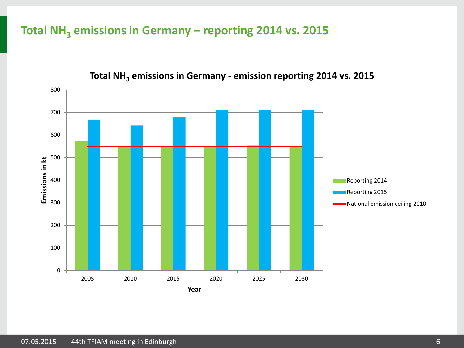## **Total NH<sup>3</sup> emissions in Germany – reporting 2014 vs. 2015**



#### **Total NH<sup>3</sup> emissions in Germany - emission reporting 2014 vs. 2015**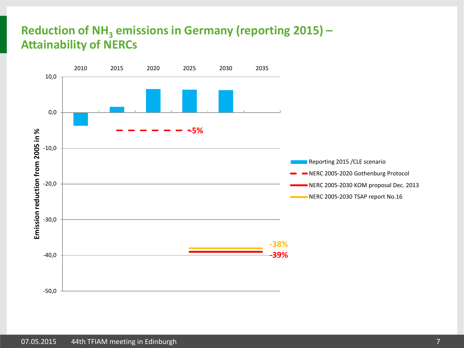## **Reduction of NH<sup>3</sup> emissions in Germany (reporting 2015) – Attainability of NERCs**

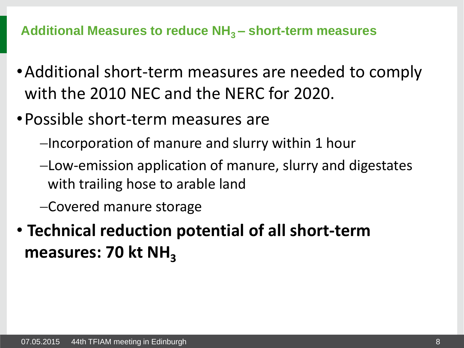**Additional Measures to reduce NH3 – short-term measures**

- •Additional short-term measures are needed to comply with the 2010 NEC and the NERC for 2020.
- •Possible short-term measures are
	- -Incorporation of manure and slurry within 1 hour
	- Low-emission application of manure, slurry and digestates with trailing hose to arable land
	- Covered manure storage
- **Technical reduction potential of all short-term**  measures: 70 kt NH<sub>3</sub>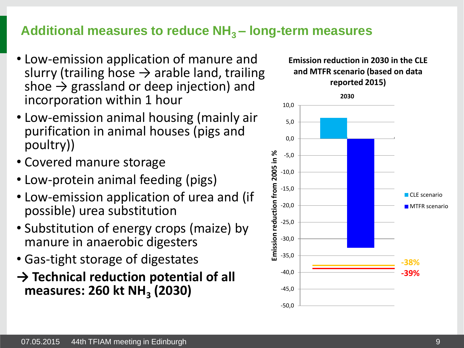## **Additional measures to reduce NH3 – long-term measures**

- Low-emission application of manure and slurry (trailing hose  $\rightarrow$  arable land, trailing shoe  $\rightarrow$  grassland or deep injection) and incorporation within 1 hour
- Low-emission animal housing (mainly air purification in animal houses (pigs and poultry))
- Covered manure storage
- Low-protein animal feeding (pigs)
- Low-emission application of urea and (if possible) urea substitution
- Substitution of energy crops (maize) by manure in anaerobic digesters
- Gas-tight storage of digestates
- **→ Technical reduction potential of all measures: 260 kt NH<sup>3</sup> (2030)**

#### **Emission reduction in 2030 in the CLE and MTFR scenario (based on data reported 2015)**

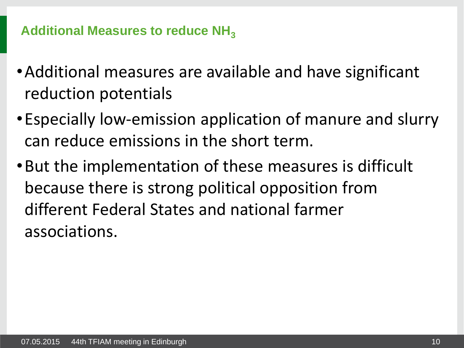## Additional Measures to reduce NH<sub>3</sub>

- •Additional measures are available and have significant reduction potentials
- •Especially low-emission application of manure and slurry can reduce emissions in the short term.
- •But the implementation of these measures is difficult because there is strong political opposition from different Federal States and national farmer associations.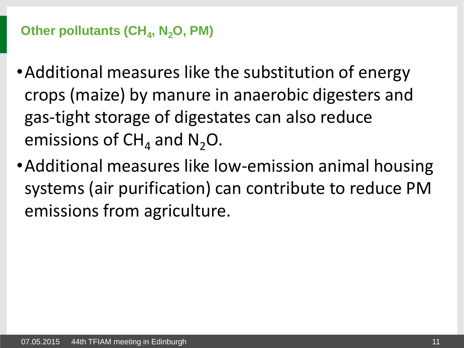# **Other pollutants (CH<sup>4</sup> , N2O, PM)**

- •Additional measures like the substitution of energy crops (maize) by manure in anaerobic digesters and gas-tight storage of digestates can also reduce emissions of  $CH_4$  and  $N_2O$ .
- •Additional measures like low-emission animal housing systems (air purification) can contribute to reduce PM emissions from agriculture.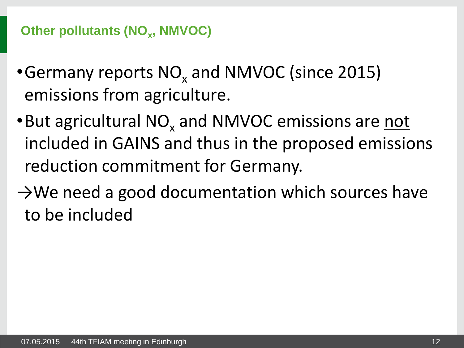# **Other pollutants (NO<sub>x</sub>, NMVOC)**

- Germany reports  $NO_x$  and NMVOC (since 2015) emissions from agriculture.
- . But agricultural NO<sub>x</sub> and NMVOC emissions are not included in GAINS and thus in the proposed emissions reduction commitment for Germany.
- $\rightarrow$ We need a good documentation which sources have to be included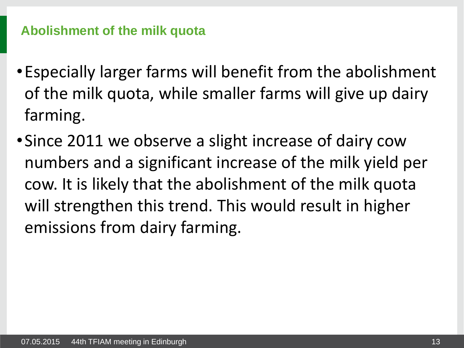## **Abolishment of the milk quota**

- •Especially larger farms will benefit from the abolishment of the milk quota, while smaller farms will give up dairy farming.
- •Since 2011 we observe a slight increase of dairy cow numbers and a significant increase of the milk yield per cow. It is likely that the abolishment of the milk quota will strengthen this trend. This would result in higher emissions from dairy farming.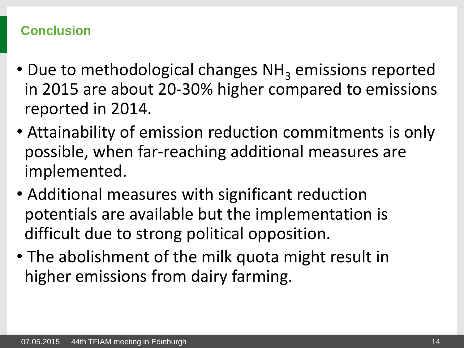## **Conclusion**

- Due to methodological changes  $NH<sub>3</sub>$  emissions reported in 2015 are about 20-30% higher compared to emissions reported in 2014.
- Attainability of emission reduction commitments is only possible, when far-reaching additional measures are implemented.
- Additional measures with significant reduction potentials are available but the implementation is difficult due to strong political opposition.
- The abolishment of the milk quota might result in higher emissions from dairy farming.